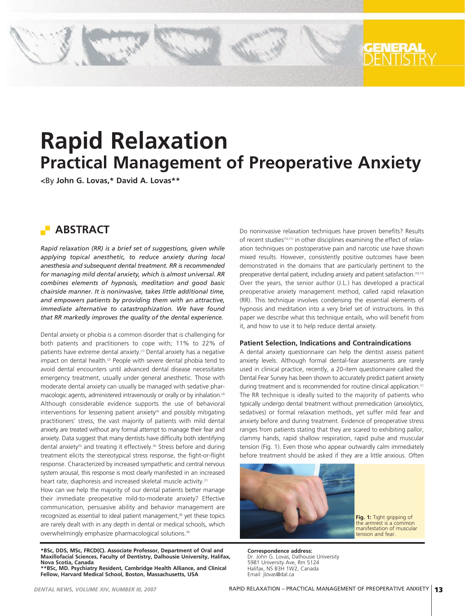# **Rapid Relaxation Practical Management of Preoperative Anxiety**

**<**By **John G. Lovas,\* David A. Lovas\*\***

## **ABSTRACT**

*Rapid relaxation (RR) is a brief set of suggestions, given while applying topical anesthetic, to reduce anxiety during local anesthesia and subsequent dental treatment. RR is recommended for managing mild dental anxiety, which is almost universal. RR combines elements of hypnosis, meditation and good basic chairside manner. It is noninvasive, takes little additional time, and empowers patients by providing them with an attractive, immediate alternative to catastrophization. We have found that RR markedly improves the quality of the dental experience.*

Dental anxiety or phobia is a common disorder that is challenging for both patients and practitioners to cope with; 11% to 22% of patients have extreme dental anxiety.(1) Dental anxiety has a negative impact on dental health.<sup>(2)</sup> People with severe dental phobia tend to avoid dental encounters until advanced dental disease necessitates emergency treatment, usually under general anesthetic. Those with moderate dental anxiety can usually be managed with sedative pharmacologic agents, administered intravenously or orally or by inhalation.<sup>(3)</sup> Although considerable evidence supports the use of behavioral interventions for lessening patient anxiety<sup>(4)</sup> and possibly mitigating practitioners' stress, the vast majority of patients with mild dental anxiety are treated without any formal attempt to manage their fear and anxiety. Data suggest that many dentists have difficulty both identifying dental anxiety<sup>(5)</sup> and treating it effectively.<sup>(6)</sup> Stress before and during treatment elicits the stereotypical stress response, the fight-or-flight response. Characterized by increased sympathetic and central nervous system arousal, this response is most clearly manifested in an increased heart rate, diaphoresis and increased skeletal muscle activity.<sup>(7)</sup>

How can we help the majority of our dental patients better manage their immediate preoperative mild-to-moderate anxiety? Effective communication, persuasive ability and behavior management are recognized as essential to ideal patient management,<sup>(8)</sup> yet these topics are rarely dealt with in any depth in dental or medical schools, which overwhelmingly emphasize pharmacological solutions.(9)

**\*BSc, DDS, MSc, FRCD(C). Associate Professor, Department of Oral and Maxillofacial Sciences, Faculty of Dentistry, Dalhousie University, Halifax, Nova Scotia, Canada \*\*BSc, MD. Psychiatry Resident, Cambridge Health Alliance, and Clinical Fellow, Harvard Medical School, Boston, Massachusetts, USA**

Do noninvasive relaxation techniques have proven benefits? Results of recent studies(10,11) in other disciplines examining the effect of relaxation techniques on postoperative pain and narcotic use have shown mixed results. However, consistently positive outcomes have been demonstrated in the domains that are particularly pertinent to the preoperative dental patient, including anxiety and patient satisfaction.<sup>(10,11)</sup> Over the years, the senior author (J.L.) has developed a practical preoperative anxiety management method, called rapid relaxation (RR). This technique involves condensing the essential elements of hypnosis and meditation into a very brief set of instructions. In this paper we describe what this technique entails, who will benefit from it, and how to use it to help reduce dental anxiety.

## **Patient Selection, Indications and Contraindications**

A dental anxiety questionnaire can help the dentist assess patient anxiety levels. Although formal dental-fear assessments are rarely used in clinical practice, recently, a 20-item questionnaire called the Dental Fear Survey has been shown to accurately predict patient anxiety during treatment and is recommended for routine clinical application.<sup>(1)</sup> The RR technique is ideally suited to the majority of patients who typically undergo dental treatment without premedication (anxiolytics, sedatives) or formal relaxation methods, yet suffer mild fear and anxiety before and during treatment. Evidence of preoperative stress ranges from patients stating that they are scared to exhibiting pallor, clammy hands, rapid shallow respiration, rapid pulse and muscular tension (Fig. 1). Even those who appear outwardly calm immediately before treatment should be asked if they are a little anxious. Often



**Fig. 1:** Tight gripping of the armrest is a common manifestation of muscular tension and fear.

**Correspondence address:** Dr. John G. Lovas, Dalhousie University 5981 University Ave, Rm 5124 Halifax, NS B3H 1W2, Canada Email: jlovas@dal.ca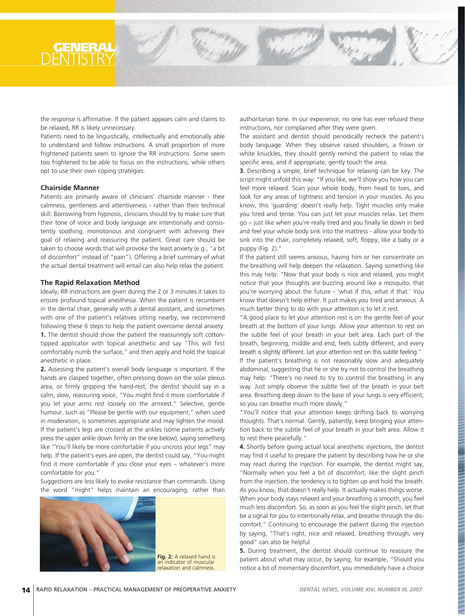the response is affirmative. If the patient appears calm and claims to be relaxed, RR is likely unnecessary.

Patients need to be linguistically, intellectually and emotionally able to understand and follow instructions. A small proportion of more frightened patients seem to ignore the RR instructions. Some seem too frightened to be able to focus on the instructions, while others opt to use their own coping strategies.

## **Chairside Manner**

Patients are primarily aware of clinicians' chairside manner - their calmness, gentleness and attentiveness - rather than their technical skill. Borrowing from hypnosis, clinicians should try to make sure that their tone of voice and body language are intentionally and consistently soothing, monotonous and congruent with achieving their goal of relaxing and reassuring the patient. Great care should be taken to choose words that will provoke the least anxiety (e.g., "a bit of discomfort" instead of "pain"). Offering a brief summary of what the actual dental treatment will entail can also help relax the patient.

#### **The Rapid Relaxation Method**

Ideally, RR instructions are given during the 2 or 3 minutes it takes to ensure profound topical anesthesia. When the patient is recumbent in the dental chair, generally with a dental assistant, and sometimes with one of the patient's relatives sitting nearby, we recommend following these 6 steps to help the patient overcome dental anxiety. **1.** The dentist should show the patient the reassuringly soft cottontipped applicator with topical anesthetic and say "This will first comfortably numb the surface," and then apply and hold the topical anesthetic in place.

**2.** Assessing the patient's overall body language is important. If the hands are clasped together, often pressing down on the solar plexus area, or firmly gripping the hand-rest, the dentist should say in a calm, slow, reassuring voice, "You might find it more comfortable if you let your arms rest loosely on the armrest." Selective, gentle humour, such as "Please be gentle with our equipment," when used in moderation, is sometimes appropriate and may lighten the mood. If the patient's legs are crossed at the ankles (some patients actively press the upper ankle down firmly on the one below), saying something like "You'll likely be more comfortable if you uncross your legs" may help. If the patient's eyes are open, the dentist could say, "You might find it more comfortable if you close your eyes – whatever's more comfortable for you."

Suggestions are less likely to evoke resistance than commands. Using the word "might" helps maintain an encouraging, rather than



**Fig. 2:** A relaxed hand is an indicator of muscular relaxation and calmness.

authoritarian tone. In our experience, no one has ever refused these instructions, nor complained after they were given.

The assistant and dentist should periodically recheck the patient's body language. When they observe raised shoulders, a frown or white knuckles, they should gently remind the patient to relax the specific area, and if appropriate, gently touch the area.

**3.** Describing a simple, brief technique for relaxing can be key. The script might unfold this way: "If you like, we'll show you how you can feel more relaxed. Scan your whole body, from head to toes, and look for any areas of tightness and tension in your muscles. As you know, this 'guarding' doesn't really help. Tight muscles only make you tired and tense. You can just let your muscles relax. Let them go – just like when you're really tired and you finally lie down in bed and feel your whole body sink into the mattress - allow your body to sink into the chair, completely relaxed, soft, floppy, like a baby or a puppy (Fig. 2)."

If the patient still seems anxious, having him or her concentrate on the breathing will help deepen the relaxation. Saying something like this may help: "Now that your body is nice and relaxed, you might notice that your thoughts are buzzing around like a mosquito, that you're worrying about the future - 'what if this, what if that.' You know that doesn't help either. It just makes you tired and anxious. A much better thing to do with your attention is to let it rest.

"A good place to let your attention rest is on the gentle feel of your breath at the bottom of your lungs. Allow your attention to rest on the subtle feel of your breath in your belt area. Each part of the breath, beginning, middle and end, feels subtly different, and every breath is slightly different. Let your attention rest on this subtle feeling."

If the patient's breathing is not reasonably slow and adequately abdominal, suggesting that he or she try not to control the breathing may help: "There's no need to try to control the breathing in any way. Just simply observe the subtle feel of the breath in your belt area. Breathing deep down to the base of your lungs is very efficient, so you can breathe much more slowly."

"You'll notice that your attention keeps drifting back to worrying thoughts. That's normal. Gently, patiently, keep bringing your attention back to the subtle feel of your breath in your belt area. Allow it to rest there peacefully."

**4.** Shortly before giving actual local anesthetic injections, the dentist may find it useful to prepare the patient by describing how he or she may react during the injection. For example, the dentist might say, "Normally when you feel a bit of discomfort, like the slight pinch from the injection, the tendency is to tighten up and hold the breath. As you know, that doesn't really help. It actually makes things worse. When your body stays relaxed and your breathing is smooth, you feel much less discomfort. So, as soon as you feel the slight pinch, let that be a signal for you to intentionally relax, and breathe through the discomfort." Continuing to encourage the patient during the injection by saying, "That's right, nice and relaxed, breathing through, very good" can also be helpful.

**5.** During treatment, the dentist should continue to reassure the patient about what may occur, by saying, for example, "Should you notice a bit of momentary discomfort, you immediately have a choice